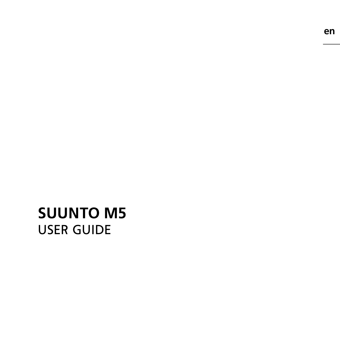## **SUUNTO M5**  USER GUIDE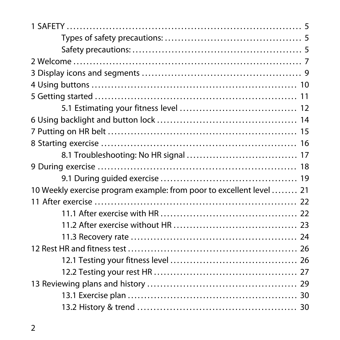| 10 Weekly exercise program example: from poor to excellent level  21 |  |
|----------------------------------------------------------------------|--|
|                                                                      |  |
|                                                                      |  |
|                                                                      |  |
|                                                                      |  |
|                                                                      |  |
|                                                                      |  |
|                                                                      |  |
|                                                                      |  |
|                                                                      |  |
|                                                                      |  |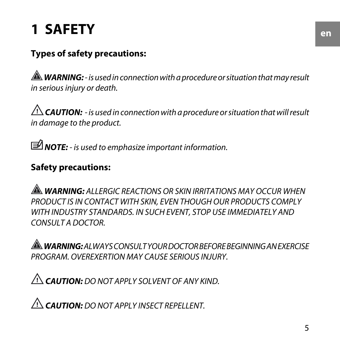## <span id="page-4-0"></span>**1 SAFETY**

#### <span id="page-4-1"></span>**Types of safety precautions:**

 *WARNING:* - is used in connection with a procedure or situation that may result in serious injury or death.

 $\triangle$  **CAUTION:** - is used in connection with a procedure or situation that will result in damage to the product.

<span id="page-4-2"></span>*MOTE:* - is used to emphasize important information.

#### **Safety precautions:**

 *WARNING:* ALLERGIC REACTIONS OR SKIN IRRITATIONS MAY OCCUR WHEN PRODUCT IS IN CONTACT WITH SKIN, EVEN THOUGH OUR PRODUCTS COMPLY WITH INDUSTRY STANDARDS. IN SUCH EVENT, STOP USE IMMEDIATELY AND CONSULT A DOCTOR.

 *WARNING:* ALWAYS CONSULT YOUR DOCTOR BEFORE BEGINNING AN EXERCISE PROGRAM. OVEREXERTION MAY CAUSE SERIOUS INJURY.

 *CAUTION:* DO NOT APPLY SOLVENT OF ANY KIND.

 *CAUTION:* DO NOT APPLY INSECT REPELLENT.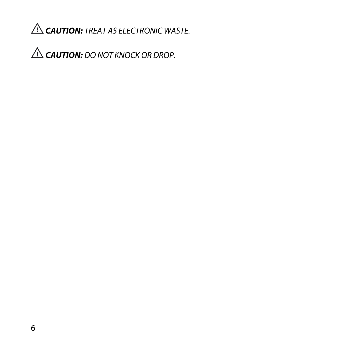*CAUTION:* TREAT AS ELECTRONIC WASTE.

 *CAUTION:* DO NOT KNOCK OR DROP.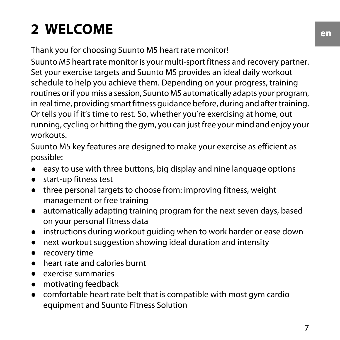## <span id="page-6-0"></span>**2 WELCOME**

Thank you for choosing Suunto M5 heart rate monitor!

Suunto M5 heart rate monitor is your multi-sport fitness and recovery partner. Set your exercise targets and Suunto M5 provides an ideal daily workout schedule to help you achieve them. Depending on your progress, training routines or if you miss a session, Suunto M5 automatically adapts your program, in real time, providing smart fitness guidance before, during and after training. Or tells you if it's time to rest. So, whether you're exercising at home, out running, cycling or hitting the gym, you can just free your mind and enjoy your workouts.

Suunto M5 key features are designed to make your exercise as efficient as possible:

- easy to use with three buttons, big display and nine language options
- start-up fitness test
- three personal targets to choose from: improving fitness, weight management or free training
- automatically adapting training program for the next seven days, based on your personal fitness data
- instructions during workout guiding when to work harder or ease down
- next workout suggestion showing ideal duration and intensity
- recovery time
- heart rate and calories burnt
- exercise summaries
- motivating feedback
- comfortable heart rate belt that is compatible with most gym cardio equipment and Suunto Fitness Solution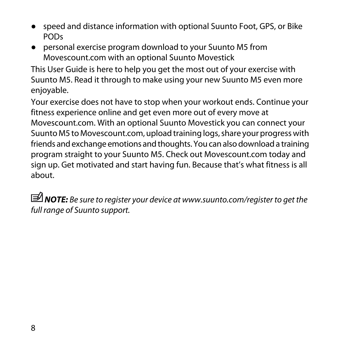- speed and distance information with optional Suunto Foot, GPS, or Bike PODs
- personal exercise program download to your Suunto M5 from Movescount.com with an optional Suunto Movestick

This User Guide is here to help you get the most out of your exercise with Suunto M5. Read it through to make using your new Suunto M5 even more enjoyable.

Your exercise does not have to stop when your workout ends. Continue your fitness experience online and get even more out of every move at Movescount.com. With an optional Suunto Movestick you can connect your Suunto M5 to Movescount.com, upload training logs, share your progress with friends and exchange emotions and thoughts. You can also download a training program straight to your Suunto M5. Check out Movescount.com today and sign up. Get motivated and start having fun. Because that's what fitness is all about.

 *NOTE:* Be sure to register your device at www.suunto.com/register to get the full range of Suunto support.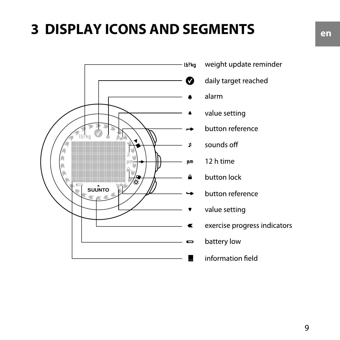## <span id="page-8-0"></span>**3 DISPLAY ICONS AND SEGMENTS**



- weight update reminder
- daily target reached
- alarm
- value setting
- button reference
- sounds off
- 12 h time
- button lock
- button reference
- value setting
- exercise progress indicators
- battery low
	- information field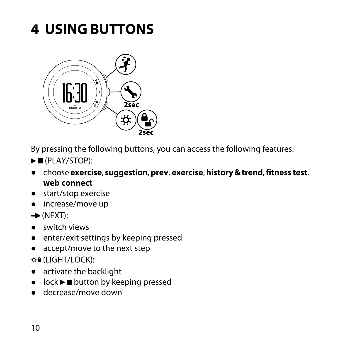## <span id="page-9-0"></span>**4 USING BUTTONS**



By pressing the following buttons, you can access the following features:

- $\blacktriangleright$  (PLAY/STOP):
- choose **exercise**, **suggestion**, **prev. exercise**, **history & trend**, **fitness test**, **web connect**
- start/stop exercise
- increase/move up
- $\rightarrow$  (NEXT):
- switch views
- enter/exit settings by keeping pressed
- accept/move to the next step
- (LIGHT/LOCK):
- activate the backlight
- $\bullet$  lock  $\blacktriangleright$   $\blacksquare$  button by keeping pressed
- decrease/move down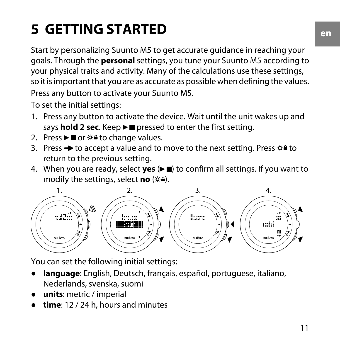## <span id="page-10-0"></span>**5 GETTING STARTED**

Start by personalizing Suunto M5 to get accurate guidance in reaching your goals. Through the **personal** settings, you tune your Suunto M5 according to your physical traits and activity. Many of the calculations use these settings, so it is important that you are as accurate as possible when defining the values. Press any button to activate your Suunto M5.

To set the initial settings:

- 1. Press any button to activate the device. Wait until the unit wakes up and says **hold 2 sec**. Keep  $\blacktriangleright$  **pressed to enter the first setting.**
- 2. Press  $\blacktriangleright$  or  $\ddot{\varphi}$  a to change values.
- 3. Press  $\rightarrow$  to accept a value and to move to the next setting. Press  $\circ$  a to return to the previous setting.
- 4. When you are ready, select **yes** ( $\blacktriangleright$ **II**) to confirm all settings. If you want to modify the settings, select **no** ( $\infty$ **)**.



You can set the following initial settings:

- language: English, Deutsch, français, español, portuguese, italiano, Nederlands, svenska, suomi
- **units**: metric / imperial
- **time**: 12 / 24 h, hours and minutes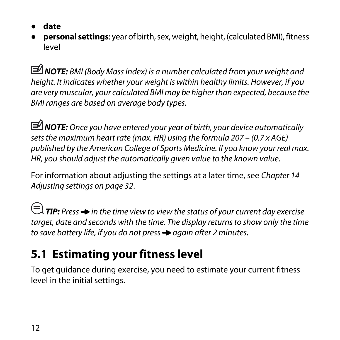- **date**
- **personal settings**: year of birth, sex, weight, height, (calculated BMI), fitness level

 *NOTE:* BMI (Body Mass Index) is a number calculated from your weight and height. It indicates whether your weight is within healthy limits. However, if you are very muscular, your calculated BMI may be higher than expected, because the BMI ranges are based on average body types.

*MOTE:* Once you have entered your year of birth, your device automatically sets the maximum heart rate (max. HR) using the formula 207 – (0.7 x AGE) published by the American College of Sports Medicine. If you know your real max. HR, you should adjust the automatically given value to the known value.

For information about adjusting the settings at a later time, see [Chapter 14](#page-31-0) [Adjusting settings on page 32](#page-31-0).

<span id="page-11-0"></span> $\textbf{F} \equiv \textbf{F}$  **TIP:** Press  $\rightarrow$  in the time view to view the status of your current day exercise target, date and seconds with the time. The display returns to show only the time to save battery life, if you do not press  $\rightarrow$  again after 2 minutes.

## **5.1 Estimating your fitness level**

To get guidance during exercise, you need to estimate your current fitness level in the initial settings.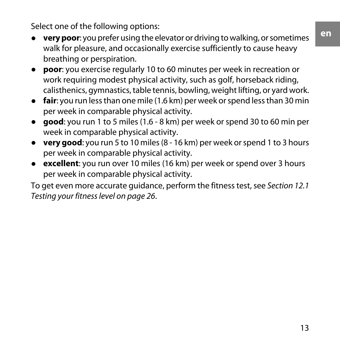Select one of the following options:

- **very poor**: you prefer using the elevator or driving to walking, or sometimes walk for pleasure, and occasionally exercise sufficiently to cause heavy breathing or perspiration.
- **poor**: you exercise regularly 10 to 60 minutes per week in recreation or work requiring modest physical activity, such as golf, horseback riding, calisthenics, gymnastics, table tennis, bowling, weight lifting, or yard work.
- **fair**: you run less than one mile (1.6 km) per week or spend less than 30 min per week in comparable physical activity.
- **good**: you run 1 to 5 miles (1.6 8 km) per week or spend 30 to 60 min per week in comparable physical activity.
- **very good**: you run 5 to 10 miles (8 16 km) per week or spend 1 to 3 hours per week in comparable physical activity.
- **excellent**: you run over 10 miles (16 km) per week or spend over 3 hours per week in comparable physical activity.

To get even more accurate guidance, perform the fitness test, see [Section 12.1](#page-25-1) [Testing your fitness level on page 26](#page-25-1).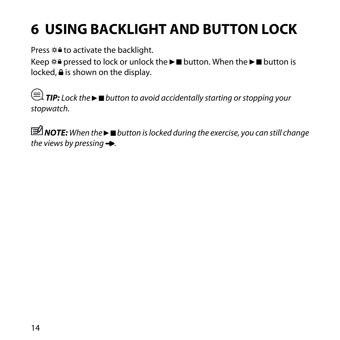## <span id="page-13-0"></span>**6 USING BACKLIGHT AND BUTTON LOCK**

Press  $\hat{\varphi}$  to activate the backlight.

Keep  $\circ$  a pressed to lock or unlock the  $\blacktriangleright$   $\blacksquare$  button the  $\blacktriangleright$   $\blacksquare$  button is  $locked,  $\triangleq$  is shown on the display.$ 

*<u></u> TIP: Lock the ► ■ button to avoid accidentally starting or stopping your* stopwatch.

*MOTE:* When the  $\blacktriangleright$  ■ button is locked during the exercise, you can still change the views by pressing  $\rightarrow$ .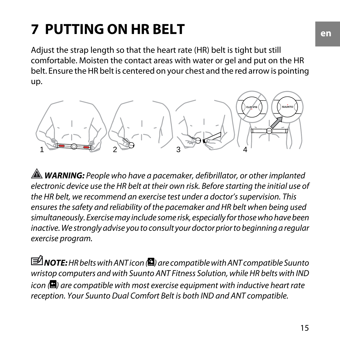## <span id="page-14-0"></span>**7 PUTTING ON HR BELT**

Adjust the strap length so that the heart rate (HR) belt is tight but still comfortable. Moisten the contact areas with water or gel and put on the HR belt. Ensure the HR belt is centered on your chest and the red arrow is pointing up.



**A WARNING:** People who have a pacemaker, defibrillator, or other implanted electronic device use the HR belt at their own risk. Before starting the initial use of the HR belt, we recommend an exercise test under a doctor's supervision. This ensures the safety and reliability of the pacemaker and HR belt when being used simultaneously. Exercise may include some risk, especially for those who have been inactive. We strongly advise you to consult your doctor prior to beginning a regular exercise program.

**IM** NOTE: HR belts with ANT icon (**)** are compatible with ANT compatible Suunto wristop computers and with Suunto ANT Fitness Solution, while HR belts with IND  $\alpha$  ( $\Omega$ ) are compatible with most exercise equipment with inductive heart rate reception. Your Suunto Dual Comfort Belt is both IND and ANT compatible.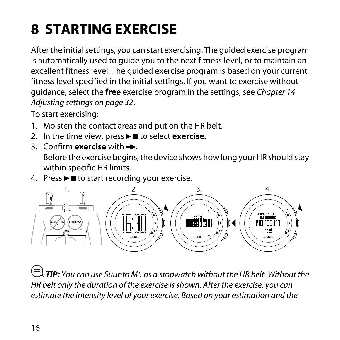# <span id="page-15-0"></span>**8 STARTING EXERCISE**

After the initial settings, you can start exercising. The guided exercise program is automatically used to guide you to the next fitness level, or to maintain an excellent fitness level. The guided exercise program is based on your current fitness level specified in the initial settings. If you want to exercise without guidance, select the **free** exercise program in the settings, see [Chapter 14](#page-31-0) [Adjusting settings on page 32](#page-31-0).

To start exercising:

- 1. Moisten the contact areas and put on the HR belt.
- 2. In the time view, press **Figure 1** to select **exercise**.
- 3. Confirm **exercise** with  $\rightarrow$ Before the exercise begins, the device shows how long your HR should stay within specific HR limits.
- 4. Press  $\blacktriangleright \blacksquare$  to start recording your exercise.



 *TIP:* You can use Suunto M5 as a stopwatch without the HR belt. Without the HR belt only the duration of the exercise is shown. After the exercise, you can estimate the intensity level of your exercise. Based on your estimation and the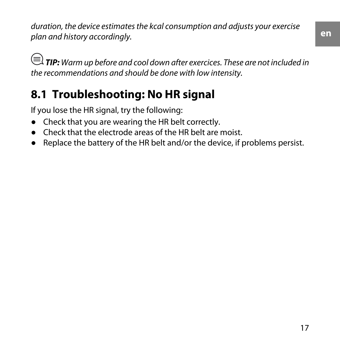duration, the device estimates the kcal consumption and adjusts your exercise plan and history accordingly.

**E**) TIP: Warm up before and cool down after exercices. These are not included in the recommendations and should be done with low intensity.

### <span id="page-16-0"></span>**8.1 Troubleshooting: No HR signal**

If you lose the HR signal, try the following:

- Check that you are wearing the HR belt correctly.
- Check that the electrode areas of the HR belt are moist.
- Replace the battery of the HR belt and/or the device, if problems persist.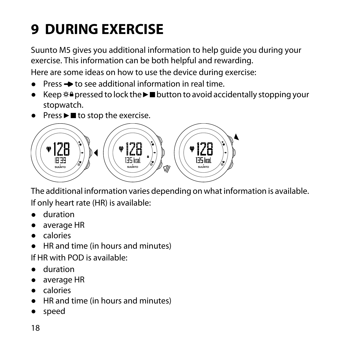# <span id="page-17-0"></span>**9 DURING EXERCISE**

Suunto M5 gives you additional information to help guide you during your exercise. This information can be both helpful and rewarding. Here are some ideas on how to use the device during exercise:

- $\bullet$  Press  $\bullet$  to see additional information in real time.
- Keep  $\phi$  a pressed to lock the  $\blacktriangleright$   $\blacksquare$  button to avoid accidentally stopping your stopwatch.
- $\bullet$  Press  $\blacktriangleright$  to stop the exercise.



The additional information varies depending on what information is available.

If only heart rate (HR) is available:

- duration
- average HR
- calories
- HR and time (in hours and minutes)

If HR with POD is available:

- duration
- average HR
- calories
- HR and time (in hours and minutes)
- speed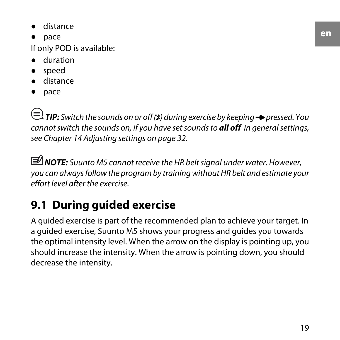- distance
- pace

If only POD is available:

- duration
- speed
- distance
- pace

 $\textbf{F}(\equiv)$  **TIP:** Switch the sounds on or off (\*) during exercise by keeping  $\rightarrow$  pressed. You cannot switch the sounds on, if you have set sounds to *all off* in general settings, see [Chapter 14 Adjusting settings on page 32](#page-31-0).

<span id="page-18-0"></span> *NOTE:* Suunto M5 cannot receive the HR belt signal under water. However, you can always follow the program by training without HR belt and estimate your effort level after the exercise.

### **9.1 During guided exercise**

A guided exercise is part of the recommended plan to achieve your target. In a guided exercise, Suunto M5 shows your progress and guides you towards the optimal intensity level. When the arrow on the display is pointing up, you should increase the intensity. When the arrow is pointing down, you should decrease the intensity.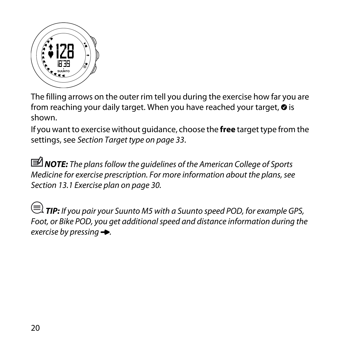

The filling arrows on the outer rim tell you during the exercise how far you are from reaching your daily target. When you have reached your target,  $\odot$  is shown.

If you want to exercise without guidance, choose the **free** target type from the settings, see [Section Target type on page 33](#page-32-0).

*MOTE:* The plans follow the guidelines of the American College of Sports Medicine for exercise prescription. For more information about the plans, see [Section 13.1 Exercise plan on page 30](#page-29-0).

 *TIP:* If you pair your Suunto M5 with a Suunto speed POD, for example GPS, Foot, or Bike POD, you get additional speed and distance information during the exercise by pressing  $\rightarrow$ .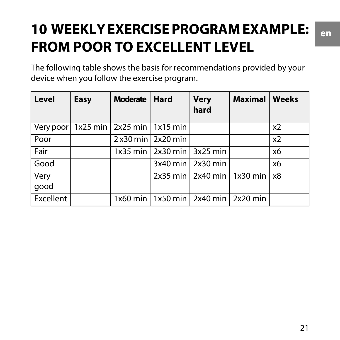## <span id="page-20-0"></span>**10 WEEKLY EXERCISE PROGRAM EXAMPLE: FROM POOR TO EXCELLENT LEVEL**

The following table shows the basis for recommendations provided by your device when you follow the exercise program.

| l Level                                    | Easy | Moderate   Hard |                                           | <b>Very</b><br>hard | Maximal                        | Weeks          |
|--------------------------------------------|------|-----------------|-------------------------------------------|---------------------|--------------------------------|----------------|
| Very poor   1x25 min   2x25 min   1x15 min |      |                 |                                           |                     |                                | x <sub>2</sub> |
| Poor                                       |      |                 | $2x30$ min 2x20 min                       |                     |                                | x <sub>2</sub> |
| Fair                                       |      |                 | $1x35$ min   2x30 min   3x25 min          |                     |                                | х6             |
| Good                                       |      |                 |                                           | 3x40 min 2x30 min   |                                | х6             |
| <b>Very</b>                                |      |                 |                                           |                     | 2x35 min 2x40 min 1x30 min 2x8 |                |
| qood                                       |      |                 |                                           |                     |                                |                |
| Excellent                                  |      |                 | 1x60 min   1x50 min   2x40 min   2x20 min |                     |                                |                |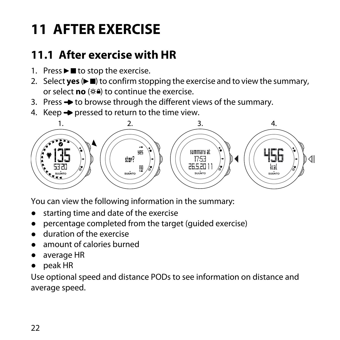## <span id="page-21-0"></span>**11 AFTER EXERCISE**

## <span id="page-21-1"></span>**11.1 After exercise with HR**

- 1. Press  $\blacktriangleright$  to stop the exercise.
- 2. Select **yes**  $(\blacktriangleright \blacksquare)$  to confirm stopping the exercise and to view the summary, or select **no** ( $\otimes$ **A**) to continue the exercise.
- 3. Press  $\rightarrow$  to browse through the different views of the summary.
- 4. Keep  $\rightarrow$  pressed to return to the time view.



You can view the following information in the summary:

- starting time and date of the exercise
- percentage completed from the target (guided exercise)
- duration of the exercise
- amount of calories burned
- average HR
- peak HR

Use optional speed and distance PODs to see information on distance and average speed.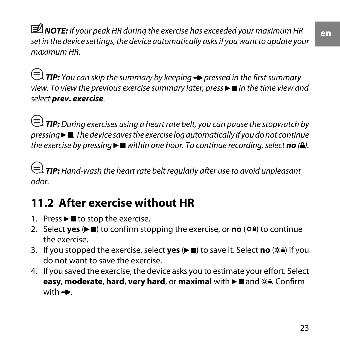**en**

*MOTE:* If your peak HR during the exercise has exceeded your maximum HR set in the device settings, the device automatically asks if you want to update your maximum HR.

 $\textbf{F} \equiv \textbf{F}$  **TIP:** You can skip the summary by keeping  $\rightarrow$  pressed in the first summary view. To view the previous exercise summary later, press  $\blacktriangleright$   $\blacksquare$  in the time view and select *prev. exercise*.

 $\equiv$   $\equiv$   $\bf{TP:}$  During exercises using a heart rate belt, you can pause the stopwatch by  $presing  $\blacksquare$$ . The device saves the exercise log automatically if you do not continue the exercise by pressing  $\blacktriangleright \blacksquare$  within one hour. To continue recording, select **no** ( $\blacktriangle$ ).

<span id="page-22-0"></span> $\textbf{F} \equiv \textbf{F}$  **TIP:** Hand-wash the heart rate belt regularly after use to avoid unpleasant odor.

## **11.2 After exercise without HR**

- 1. Press  $\blacktriangleright$  to stop the exercise.
- 2. Select **yes** (▶■) to confirm stopping the exercise, or **no** ( $\circ$ **a**) to continue the exercise.
- 3. If you stopped the exercise, select **yes** ( $\blacktriangleright$  **)** to save it. Select **no** ( $\circ$ **4)** if you do not want to save the exercise.
- 4. If you saved the exercise, the device asks you to estimate your effort. Select **easy, moderate, hard, very hard, or maximal with**  $\blacktriangleright$  $\blacksquare$  **and**  $\divideontimes$ **<sup>a</sup>. Confirm** with  $\rightarrow$ .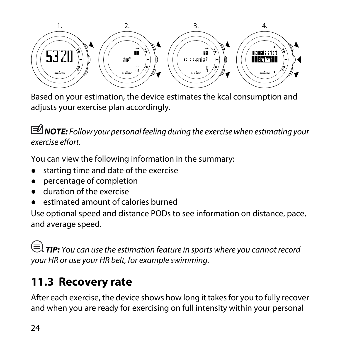

Based on your estimation, the device estimates the kcal consumption and adjusts your exercise plan accordingly.

 *NOTE:* Follow your personal feeling during the exercise when estimating your exercise effort.

You can view the following information in the summary:

- starting time and date of the exercise
- percentage of completion
- duration of the exercise
- estimated amount of calories burned

Use optional speed and distance PODs to see information on distance, pace, and average speed.

<span id="page-23-0"></span> *TIP:* You can use the estimation feature in sports where you cannot record your HR or use your HR belt, for example swimming.

### **11.3 Recovery rate**

After each exercise, the device shows how long it takes for you to fully recover and when you are ready for exercising on full intensity within your personal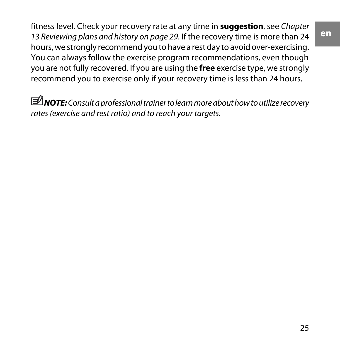fitness level. Check your recovery rate at any time in **suggestion**, see [Chapter](#page-28-0) [13 Reviewing plans and history on page 29](#page-28-0). If the recovery time is more than 24 hours, we strongly recommend you to have a rest day to avoid over-exercising. You can always follow the exercise program recommendations, even though you are not fully recovered. If you are using the **free** exercise type, we strongly recommend you to exercise only if your recovery time is less than 24 hours.

 *NOTE:* Consult a professional trainer to learn more about how to utilize recovery rates (exercise and rest ratio) and to reach your targets.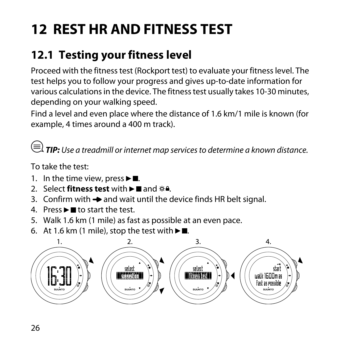# <span id="page-25-0"></span>**12 REST HR AND FITNESS TEST**

## <span id="page-25-1"></span>**12.1 Testing your fitness level**

Proceed with the fitness test (Rockport test) to evaluate your fitness level. The test helps you to follow your progress and gives up-to-date information for various calculations in the device. The fitness test usually takes 10-30 minutes, depending on your walking speed.

Find a level and even place where the distance of 1.6 km/1 mile is known (for example, 4 times around a 400 m track).

 *TIP:* Use a treadmill or internet map services to determine a known distance.

To take the test:

- 1. In the time view, press  $\blacktriangleright$   $\blacksquare$ .
- 2. Select **fitness test** with  $\blacktriangleright$  **n** and  $\hat{\varphi}$ **<sup>a</sup>**.
- 3. Confirm with  $\rightarrow$  and wait until the device finds HR belt signal.
- 4. Press  $\blacktriangleright$  **II** to start the test.
- 5. Walk 1.6 km (1 mile) as fast as possible at an even pace.
- 6. At 1.6 km (1 mile), stop the test with  $\blacktriangleright$  .

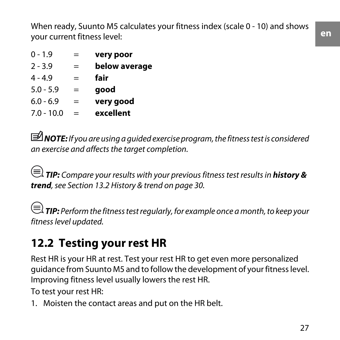When ready, Suunto M5 calculates your fitness index (scale 0 - 10) and shows your current fitness level:

| $0 - 1.9$    | =   | very poor     |
|--------------|-----|---------------|
| $2 - 3.9$    | $=$ | below average |
| $4 - 4.9$    | $=$ | fair          |
| $5.0 - 5.9$  | $=$ | qood          |
| $6.0 - 6.9$  | $=$ | very good     |
| $7.0 - 10.0$ | $=$ | excellent     |

 *NOTE:* If you are using a guided exercise program, the fitness test is considered an exercise and affects the target completion.

 *TIP:* Compare your results with your previous fitness test results in *history & trend*, see [Section 13.2 History & trend on page 30](#page-29-1).

<span id="page-26-0"></span> *TIP:* Perform the fitness test regularly, for example once a month, to keep your fitness level updated.

### **12.2 Testing your rest HR**

Rest HR is your HR at rest. Test your rest HR to get even more personalized guidance from Suunto M5 and to follow the development of your fitness level. Improving fitness level usually lowers the rest HR.

To test your rest HR:

1. Moisten the contact areas and put on the HR belt.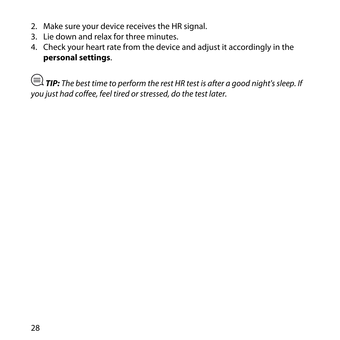- 2. Make sure your device receives the HR signal.
- 3. Lie down and relax for three minutes.
- 4. Check your heart rate from the device and adjust it accordingly in the **personal settings**.

*E* TIP: The best time to perform the rest HR test is after a good night's sleep. If you just had coffee, feel tired or stressed, do the test later.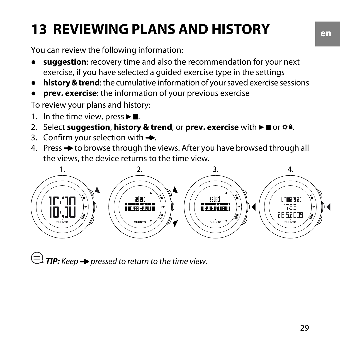## <span id="page-28-0"></span>**13 REVIEWING PLANS AND HISTORY**

You can review the following information:

- suggestion: recovery time and also the recommendation for your next exercise, if you have selected a guided exercise type in the settings
- **history & trend**: the cumulative information of your saved exercise sessions
- **prev. exercise**: the information of your previous exercise

To review your plans and history:

- 1. In the time view, press  $\blacktriangleright$   $\blacksquare$ .
- 2. Select **suggestion, history & trend, or prev. exercise** with ► **■** or  $*$ <sup>a</sup>.
- 3. Confirm your selection with  $\rightarrow$ .
- 4. Press  $\rightarrow$  to browse through the views. After you have browsed through all the views, the device returns to the time view.



 $\left(\equiv\right)$  TIP: Keep  $\rightarrow$  pressed to return to the time view.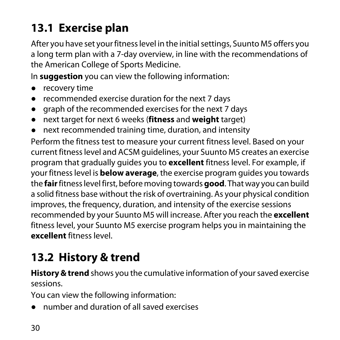## <span id="page-29-0"></span>**13.1 Exercise plan**

After you have set your fitness level in the initial settings, Suunto M5 offers you a long term plan with a 7-day overview, in line with the recommendations of the American College of Sports Medicine.

In **suggestion** you can view the following information:

- recovery time
- recommended exercise duration for the next 7 days
- graph of the recommended exercises for the next 7 days
- next target for next 6 weeks (**fitness** and **weight** target)
- next recommended training time, duration, and intensity

Perform the fitness test to measure your current fitness level. Based on your current fitness level and ACSM guidelines, your Suunto M5 creates an exercise program that gradually guides you to **excellent** fitness level. For example, if your fitness level is **below average**, the exercise program guides you towards the **fair** fitness level first, before moving towards **good**. That way you can build a solid fitness base without the risk of overtraining. As your physical condition improves, the frequency, duration, and intensity of the exercise sessions recommended by your Suunto M5 will increase. After you reach the **excellent** fitness level, your Suunto M5 exercise program helps you in maintaining the **excellent** fitness level.

### <span id="page-29-1"></span>**13.2 History & trend**

**History & trend** shows you the cumulative information of your saved exercise sessions.

You can view the following information:

● number and duration of all saved exercises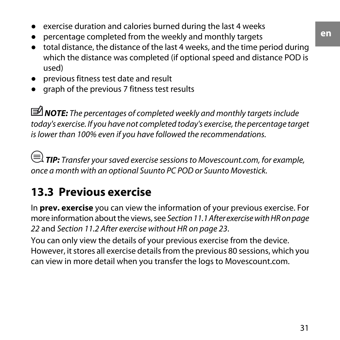- exercise duration and calories burned during the last 4 weeks
- percentage completed from the weekly and monthly targets
- total distance, the distance of the last 4 weeks, and the time period during which the distance was completed (if optional speed and distance POD is used)
- previous fitness test date and result
- graph of the previous 7 fitness test results

*MOTE:* The percentages of completed weekly and monthly targets include today's exercise. If you have not completed today's exercise, the percentage target is lower than 100% even if you have followed the recommendations.

<span id="page-30-0"></span> *TIP:* Transfer your saved exercise sessions to Movescount.com, for example, once a month with an optional Suunto PC POD or Suunto Movestick.

### **13.3 Previous exercise**

In **prev. exercise** you can view the information of your previous exercise. For more information about the views, see [Section 11.1 After exercise with HR on page](#page-21-1) [22](#page-21-1) and [Section 11.2 After exercise without HR on page 23](#page-22-0).

You can only view the details of your previous exercise from the device. However, it stores all exercise details from the previous 80 sessions, which you can view in more detail when you transfer the logs to Movescount.com.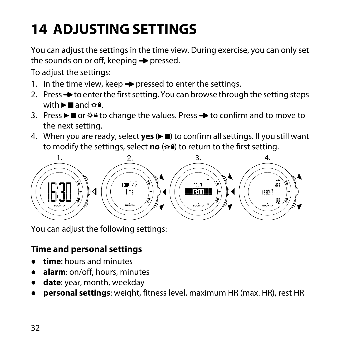# <span id="page-31-0"></span>**14 ADJUSTING SETTINGS**

You can adjust the settings in the time view. During exercise, you can only set the sounds on or off, keeping  $\rightarrow$  pressed.

To adjust the settings:

- 1. In the time view, keep  $\rightarrow$  pressed to enter the settings.
- 2. Press  $\rightarrow$  to enter the first setting. You can browse through the setting steps with  $\blacktriangleright$  and  $\&$   $\triangle$ .
- 3. Press  $\blacktriangleright \blacksquare$  or  $\hat{\varphi}$  a to change the values. Press  $\blacktriangleright$  to confirm and to move to the next setting.
- 4. When you are ready, select yes ( $\blacktriangleright$  ) to confirm all settings. If you still want to modify the settings, select **no** ( $\infty$ **a**) to return to the first setting.



<span id="page-31-1"></span>You can adjust the following settings:

#### **Time and personal settings**

- **time**: hours and minutes
- **alarm**: on/off, hours, minutes
- date: year, month, weekday
- **personal settings**: weight, fitness level, maximum HR (max. HR), rest HR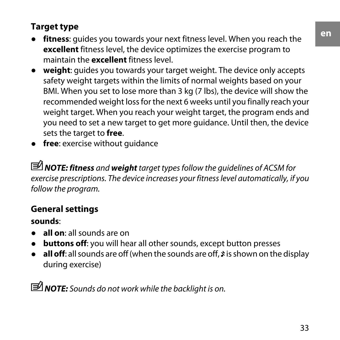#### <span id="page-32-0"></span>**Target type**

- fitness: guides you towards your next fitness level. When you reach the **excellent** fitness level, the device optimizes the exercise program to maintain the **excellent** fitness level.
- **weight**: guides you towards your target weight. The device only accepts safety weight targets within the limits of normal weights based on your BMI. When you set to lose more than 3 kg (7 lbs), the device will show the recommended weight loss for the next 6 weeks until you finally reach your weight target. When you reach your weight target, the program ends and you need to set a new target to get more guidance. Until then, the device sets the target to **free**.
- **free**: exercise without quidance

<span id="page-32-1"></span> *NOTE: fitness* and *weight* target types follow the guidelines of ACSM for exercise prescriptions. The device increases your fitness level automatically, if you follow the program.

#### **General settings**

**sounds**:

- **all on**: all sounds are on
- **buttons off**: you will hear all other sounds, except button presses
- **all off**: all sounds are off (when the sounds are off,  $\hat{x}$  is shown on the display during exercise)

 *NOTE:* Sounds do not work while the backlight is on.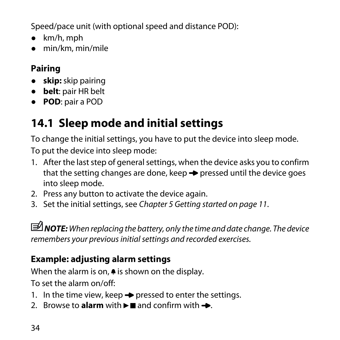Speed/pace unit (with optional speed and distance POD):

- km/h, mph
- <span id="page-33-0"></span>● min/km, min/mile

#### **Pairing**

- **skip:** skip pairing
- **belt**: pair HR belt
- <span id="page-33-1"></span>● **POD**: pair a POD

### **14.1 Sleep mode and initial settings**

To change the initial settings, you have to put the device into sleep mode. To put the device into sleep mode:

- 1. After the last step of general settings, when the device asks you to confirm that the setting changes are done, keep  $\rightarrow$  pressed until the device goes into sleep mode.
- 2. Press any button to activate the device again.
- 3. Set the initial settings, see [Chapter 5 Getting started on page 11](#page-10-0).

*MOTE:* When replacing the battery, only the time and date change. The device remembers your previous initial settings and recorded exercises.

#### **Example: adjusting alarm settings**

When the alarm is on,  $\triangleq$  is shown on the display.

To set the alarm on/off:

- 1. In the time view, keep  $\rightarrow$  pressed to enter the settings.
- 2. Browse to **alarm** with  $\blacktriangleright$  and confirm with  $\blacktriangle$ .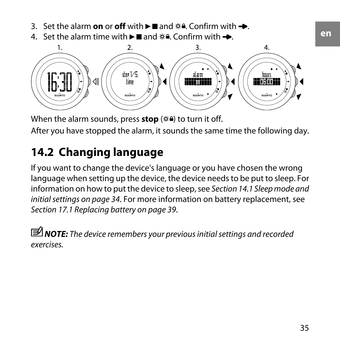- 3. Set the alarm **on** or **off** with  $\blacktriangleright$  and  $\phi$  a. Confirm with  $\blacktriangleright$ .
- 4. Set the alarm time with  $\blacktriangleright \blacksquare$  and  $\hat{\blacklozenge}$  . Confirm with  $\blacktriangleright$ .



<span id="page-34-0"></span>When the alarm sounds, press **stop** ( $\circ$ **a**) to turn it off. After you have stopped the alarm, it sounds the same time the following day.

### **14.2 Changing language**

If you want to change the device's language or you have chosen the wrong language when setting up the device, the device needs to be put to sleep. For information on how to put the device to sleep, see [Section 14.1 Sleep mode and](#page-33-1) [initial settings on page 34](#page-33-1). For more information on battery replacement, see [Section 17.1 Replacing battery on page 39](#page-38-1).

*<u>I</u>* NOTE: The device remembers your previous initial settings and recorded exercises.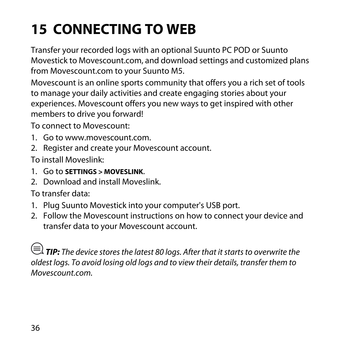## <span id="page-35-0"></span>**15 CONNECTING TO WEB**

Transfer your recorded logs with an optional Suunto PC POD or Suunto Movestick to Movescount.com, and download settings and customized plans from Movescount.com to your Suunto M5.

Movescount is an online sports community that offers you a rich set of tools to manage your daily activities and create engaging stories about your experiences. Movescount offers you new ways to get inspired with other members to drive you forward!

To connect to Movescount:

- 1. Go to www.movescount.com.
- 2. Register and create your Movescount account.

To install Moveslink:

- 1. Go to **SETTINGS > MOVESLINK**.
- 2. Download and install Moveslink.

To transfer data:

- 1. Plug Suunto Movestick into your computer's USB port.
- 2. Follow the Movescount instructions on how to connect your device and transfer data to your Movescount account.

 $\textcircled{\text{F}}$  **TIP:** The device stores the latest 80 logs. After that it starts to overwrite the oldest logs. To avoid losing old logs and to view their details, transfer them to Movescount.com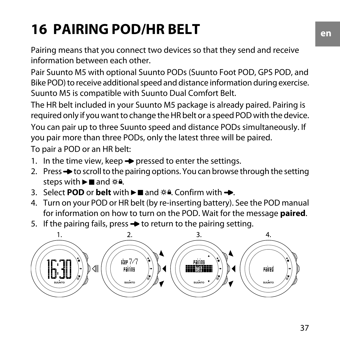# <span id="page-36-0"></span>**16 PAIRING POD/HR BELT**

Pairing means that you connect two devices so that they send and receive information between each other.

Pair Suunto M5 with optional Suunto PODs (Suunto Foot POD, GPS POD, and Bike POD) to receive additional speed and distance information during exercise. Suunto M5 is compatible with Suunto Dual Comfort Belt.

The HR belt included in your Suunto M5 package is already paired. Pairing is required only if you want to change the HR belt or a speed POD with the device. You can pair up to three Suunto speed and distance PODs simultaneously. If you pair more than three PODs, only the latest three will be paired.

To pair a POD or an HR belt:

- 1. In the time view, keep  $\rightarrow$  pressed to enter the settings.
- 2. Press  $\rightarrow$  to scroll to the pairing options. You can browse through the setting steps with  $\blacktriangleright$  and  $\phi$ **.**
- 3. Select **POD** or **belt** with  $\blacktriangleright$  and  $\hat{\varnothing}$  a. Confirm with  $\blacktriangleright$ .
- 4. Turn on your POD or HR belt (by re-inserting battery). See the POD manual for information on how to turn on the POD. Wait for the message **paired**.
- 5. If the pairing fails, press  $\rightarrow$  to return to the pairing setting.

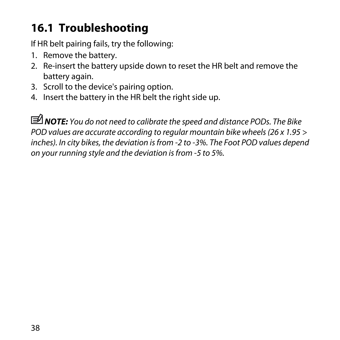### <span id="page-37-0"></span>**16.1 Troubleshooting**

If HR belt pairing fails, try the following:

- 1. Remove the battery.
- 2. Re-insert the battery upside down to reset the HR belt and remove the battery again.
- 3. Scroll to the device's pairing option.
- 4. Insert the battery in the HR belt the right side up.

*MOTE:* You do not need to calibrate the speed and distance PODs. The Bike POD values are accurate according to regular mountain bike wheels (26 x 1.95 > inches). In city bikes, the deviation is from -2 to -3%. The Foot POD values depend on your running style and the deviation is from -5 to 5%.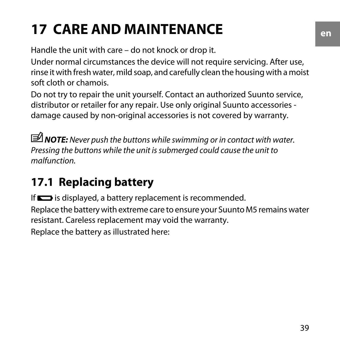# <span id="page-38-0"></span>**17 CARE AND MAINTENANCE**

Handle the unit with care – do not knock or drop it.

Under normal circumstances the device will not require servicing. After use, rinse it with fresh water, mild soap, and carefully clean the housing with a moist soft cloth or chamois.

Do not try to repair the unit yourself. Contact an authorized Suunto service, distributor or retailer for any repair. Use only original Suunto accessories damage caused by non-original accessories is not covered by warranty.

*MOTE:* Never push the buttons while swimming or in contact with water. Pressing the buttons while the unit is submerged could cause the unit to malfunction.

## <span id="page-38-1"></span>**17.1 Replacing battery**

If  $\blacksquare$  is displayed, a battery replacement is recommended. Replace the battery with extreme care to ensure your Suunto M5 remains water resistant. Careless replacement may void the warranty. Replace the battery as illustrated here: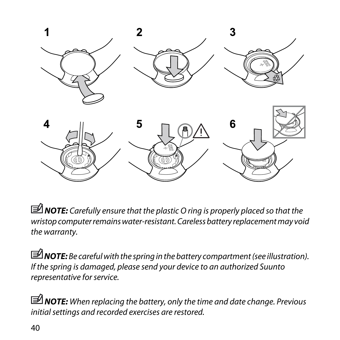

*MOTE: Carefully ensure that the plastic O ring is properly placed so that the* wristop computer remains water-resistant. Careless battery replacement may void the warranty.

 *NOTE:* Be careful with the spring in the battery compartment (see illustration). If the spring is damaged, please send your device to an authorized Suunto representative for service.

*MOTE:* When replacing the battery, only the time and date change. Previous initial settings and recorded exercises are restored.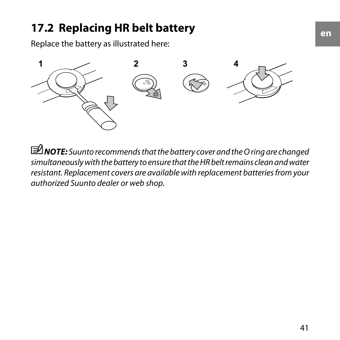### <span id="page-40-0"></span>**17.2 Replacing HR belt battery**

Replace the battery as illustrated here:



*MOTE: Suunto recommends that the battery cover and the O ring are changed* simultaneously with the battery to ensure that the HR belt remains clean and water resistant. Replacement covers are available with replacement batteries from your authorized Suunto dealer or web shop.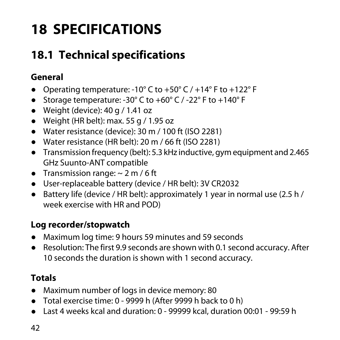## <span id="page-41-0"></span>**18 SPECIFICATIONS**

## <span id="page-41-1"></span>**18.1 Technical specifications**

#### **General**

- Operating temperature: -10 $\degree$  C to +50 $\degree$  C / +14 $\degree$  F to +122 $\degree$  F
- Storage temperature: -30° C to +60° C / -22° F to +140° F
- $\bullet$  Weight (device): 40 g / 1.41 oz
- $\bullet$  Weight (HR belt): max. 55 g / 1.95 oz
- Water resistance (device): 30 m / 100 ft (ISO 2281)
- Water resistance (HR belt): 20 m / 66 ft (ISO 2281)
- Transmission frequency (belt): 5.3 kHz inductive, gym equipment and 2.465 GHz Suunto-ANT compatible
- Transmission range:  $\sim$  2 m / 6 ft
- User-replaceable battery (device / HR belt): 3V CR2032
- Battery life (device / HR belt): approximately 1 year in normal use (2.5 h / week exercise with HR and POD)

#### **Log recorder/stopwatch**

- Maximum log time: 9 hours 59 minutes and 59 seconds
- Resolution: The first 9.9 seconds are shown with 0.1 second accuracy. After 10 seconds the duration is shown with 1 second accuracy.

#### **Totals**

- Maximum number of logs in device memory: 80
- Total exercise time: 0 9999 h (After 9999 h back to 0 h)
- Last 4 weeks kcal and duration: 0 99999 kcal, duration 00:01 99:59 h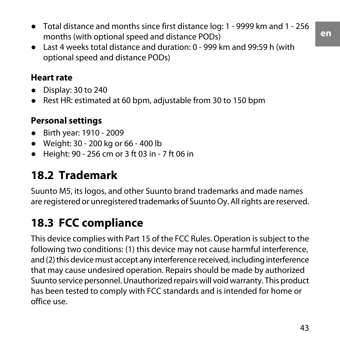● Last 4 weeks total distance and duration: 0 - 999 km and 99:59 h (with optional speed and distance PODs)

#### **Heart rate**

- Display: 30 to 240
- Rest HR: estimated at 60 bpm, adjustable from 30 to 150 bpm

#### **Personal settings**

- Birth year: 1910 2009
- Weight: 30 200 kg or 66 400 lb
- <span id="page-42-0"></span>● Height: 90 - 256 cm or 3 ft 03 in - 7 ft 06 in

### **18.2 Trademark**

<span id="page-42-1"></span>Suunto M5, its logos, and other Suunto brand trademarks and made names are registered or unregistered trademarks of Suunto Oy. All rights are reserved.

## **18.3 FCC compliance**

This device complies with Part 15 of the FCC Rules. Operation is subject to the following two conditions: (1) this device may not cause harmful interference, and (2) this device must accept any interference received, including interference that may cause undesired operation. Repairs should be made by authorized Suunto service personnel. Unauthorized repairs will void warranty. This product has been tested to comply with FCC standards and is intended for home or office use.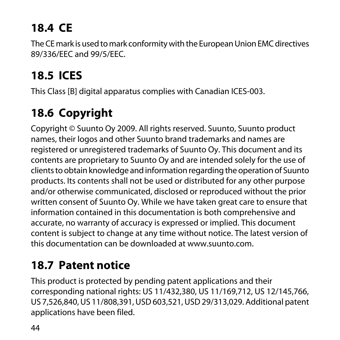## <span id="page-43-0"></span>**18.4 CE**

The CE mark is used to mark conformity with the European Union EMC directives 89/336/EEC and 99/5/EEC.

## <span id="page-43-1"></span>**18.5 ICES**

<span id="page-43-2"></span>This Class [B] digital apparatus complies with Canadian ICES-003.

## **18.6 Copyright**

Copyright © Suunto Oy 2009. All rights reserved. Suunto, Suunto product names, their logos and other Suunto brand trademarks and names are registered or unregistered trademarks of Suunto Oy. This document and its contents are proprietary to Suunto Oy and are intended solely for the use of clients to obtain knowledge and information regarding the operation of Suunto products. Its contents shall not be used or distributed for any other purpose and/or otherwise communicated, disclosed or reproduced without the prior written consent of Suunto Oy. While we have taken great care to ensure that information contained in this documentation is both comprehensive and accurate, no warranty of accuracy is expressed or implied. This document content is subject to change at any time without notice. The latest version of this documentation can be downloaded at www.suunto.com.

### <span id="page-43-3"></span>**18.7 Patent notice**

This product is protected by pending patent applications and their corresponding national rights: US 11/432,380, US 11/169,712, US 12/145,766, US 7,526,840, US 11/808,391, USD 603,521, USD 29/313,029. Additional patent applications have been filed.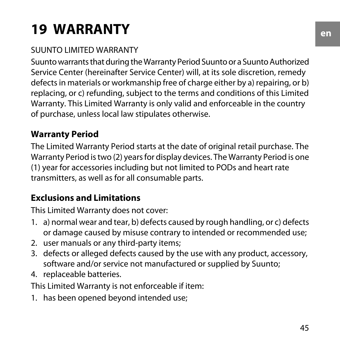# <span id="page-44-0"></span>**19 WARRANTY**

#### SUUNTO LIMITED WARRANTY

Suunto warrants that during the Warranty Period Suunto or a Suunto Authorized Service Center (hereinafter Service Center) will, at its sole discretion, remedy defects in materials or workmanship free of charge either by a) repairing, or b) replacing, or c) refunding, subject to the terms and conditions of this Limited Warranty. This Limited Warranty is only valid and enforceable in the country of purchase, unless local law stipulates otherwise.

#### <span id="page-44-1"></span>**Warranty Period**

<span id="page-44-2"></span>The Limited Warranty Period starts at the date of original retail purchase. The Warranty Period is two (2) years for display devices. The Warranty Period is one (1) year for accessories including but not limited to PODs and heart rate transmitters, as well as for all consumable parts.

#### **Exclusions and Limitations**

This Limited Warranty does not cover:

- 1. a) normal wear and tear, b) defects caused by rough handling, or c) defects or damage caused by misuse contrary to intended or recommended use;
- 2. user manuals or any third-party items;
- 3. defects or alleged defects caused by the use with any product, accessory, software and/or service not manufactured or supplied by Suunto;
- 4. replaceable batteries.

This Limited Warranty is not enforceable if item:

1. has been opened beyond intended use;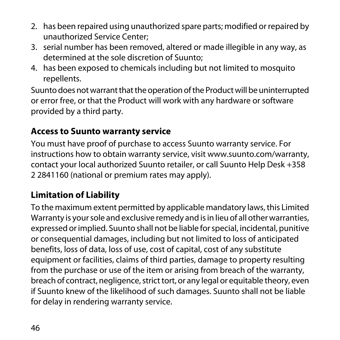- 2. has been repaired using unauthorized spare parts; modified or repaired by unauthorized Service Center;
- 3. serial number has been removed, altered or made illegible in any way, as determined at the sole discretion of Suunto;
- 4. has been exposed to chemicals including but not limited to mosquito repellents.

Suunto does not warrant that the operation of the Product will be uninterrupted or error free, or that the Product will work with any hardware or software provided by a third party.

#### <span id="page-45-0"></span>**Access to Suunto warranty service**

You must have proof of purchase to access Suunto warranty service. For instructions how to obtain warranty service, visit www.suunto.com/warranty, contact your local authorized Suunto retailer, or call Suunto Help Desk +358 2 2841160 (national or premium rates may apply).

#### <span id="page-45-1"></span>**Limitation of Liability**

To the maximum extent permitted by applicable mandatory laws, this Limited Warranty is your sole and exclusive remedy and is in lieu of all other warranties, expressed or implied. Suunto shall not be liable for special, incidental, punitive or consequential damages, including but not limited to loss of anticipated benefits, loss of data, loss of use, cost of capital, cost of any substitute equipment or facilities, claims of third parties, damage to property resulting from the purchase or use of the item or arising from breach of the warranty, breach of contract, negligence, strict tort, or any legal or equitable theory, even if Suunto knew of the likelihood of such damages. Suunto shall not be liable for delay in rendering warranty service.